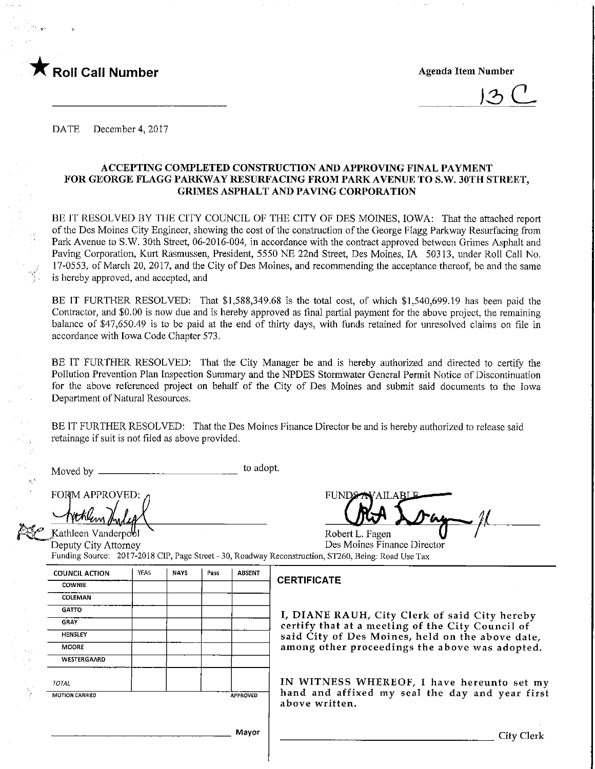

 $13C$ 

DATE December 4, 2017

#### ACCEPTING COMPLETED CONSTRUCTION AND APPROVING FINAL PAYMENT FOR GEORGE FLAGG PARKWAY RESURFACING FROM PARK AVENUE TO S.W. 30TH STREET, GRIMES ASPHALT AND PAVING CORPORATION

BE IT RESOLVED BY THE CITY COUNCIL OF THE CITY OF DES MOJNES, IOWA: That the attached report of the Des Moines City Engineer, showing the cost of the construction of the George FIagg Parkway Resurfacing from Park Avenue to S.W. 30th Street, 06-2016-004, in accordance with the contract approved between Grimes Asphalt and Paving Corporation, Kurt Rasmussen, President, 5550 NE 22nd Street, Des Moines, IA 50313, under Roll Call No. 17-0553, of March 20, 2017, and the City of Des Moines, and recommending the acceptance thereof, be and the same is hereby approved, and accepted, and

BE IT FURTHER RESOLVED: That \$1,588,349.68 is the total cost, of which \$1,540,699.19 has been paid the Contractor, and \$0.00 is now due and is hereby approved as final partial payment for the above project, the remaining balance of \$47,650.49 is to be paid at the end of thirty days, with funds retained for unresolved claims on file in accordance with Iowa Code Chapter 573.

BE IT FURTHER RESOLVED: That the City Manager be and is hereby authorized and directed to certify the Pollution Prevention Plan Inspection Summary and the NPDES Stormwater General Permit Notice of Discontinuation for the above referenced project on behalf of the City of Des Moines and submit said documents to the Iowa Department of Natural Resources.

BE IT FURTHER RESOLVED: That the Des Moines Finance Director be and is hereby authorized to release said retainage if suit is not filed as above provided.

Moved by  $\frac{1}{1}$  to adopt.

COUNCIL ACTION COWNIE **COLEMAN GATTO GRAY HENSLEY MOORE** WESTERGAARD

TOTAL MOTION CARRIED

FORM APPROVED: 0

Kathleen Vanderpo**W** ' Year and the Wander of The Robert L. Fagen<br>Deputy City Attorney ' Robert L. Fagen Des Moines Finance Director Funding Source: 2017-2018 CIP, Page Street - 30, Roadway Reconstruction, ST260, Being: Road Use Tax

YEAS | NAYS | Pass | ABSENT

**CERTIFICATE** 

\, DIANE RAUH/ City Clerk of said City hereby certify that at a meeting of the City Council of said City of Des Moines, held on the above date, among other proceedings the above was adopted.

'AILARI

IN WITNESS WHEREOF, I have hereunto set my hand and affixed my seal the day and year first above written.

City Clerk

Mayor

**APPROVED**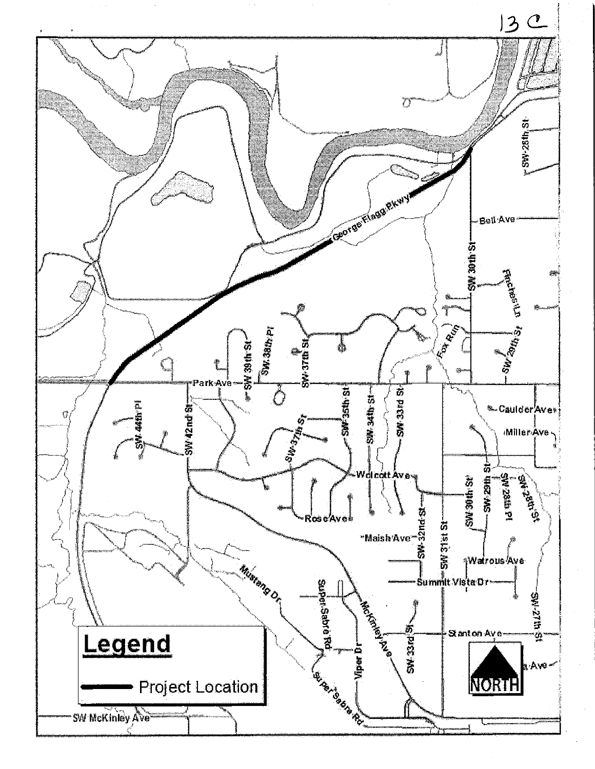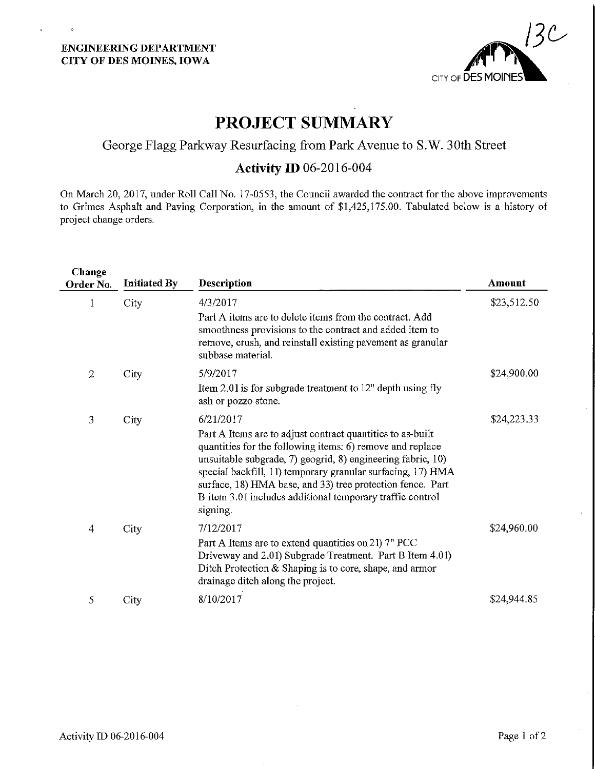$\mathbf{v}$ 



# PROJECT SUMMARY

## George Flagg Parkway Resurfacing from Park Avenue to S.W. 30th Street

## Activity ID 06-2016-004

On March 20, 2017, under Roll Call No. 17-0553, the Council awarded the contract for the above improvements to Grimes Asphalt and Paving Corporation, in the amount of \$1,425,175.00. Tabulated below is a history of project change orders.

| Change<br>Order No. | <b>Initiated By</b> | Description                                                                                                                                                                                                                                                                                                                                                                                  | Amount      |
|---------------------|---------------------|----------------------------------------------------------------------------------------------------------------------------------------------------------------------------------------------------------------------------------------------------------------------------------------------------------------------------------------------------------------------------------------------|-------------|
| 1                   | City                | 4/3/2017                                                                                                                                                                                                                                                                                                                                                                                     | \$23,512.50 |
|                     |                     | Part A items are to delete items from the contract. Add<br>smoothness provisions to the contract and added item to<br>remove, crush, and reinstall existing pavement as granular<br>subbase material.                                                                                                                                                                                        |             |
| $\mathbf{2}$        | City                | 5/9/2017                                                                                                                                                                                                                                                                                                                                                                                     | \$24,900.00 |
|                     |                     | Item 2.01 is for subgrade treatment to 12" depth using fly<br>ash or pozzo stone.                                                                                                                                                                                                                                                                                                            |             |
| 3                   | City                | 6/21/2017                                                                                                                                                                                                                                                                                                                                                                                    | \$24,223.33 |
|                     |                     | Part A Items are to adjust contract quantities to as-built<br>quantities for the following items: 6) remove and replace<br>unsuitable subgrade, 7) geogrid, 8) engineering fabric, 10)<br>special backfill, 11) temporary granular surfacing, 17) HMA<br>surface, 18) HMA base, and 33) tree protection fence. Part<br>B item 3.01 includes additional temporary traffic control<br>signing. |             |
| $\overline{4}$      | City                | 7/12/2017                                                                                                                                                                                                                                                                                                                                                                                    | \$24,960.00 |
|                     |                     | Part A Items are to extend quantities on 21) 7" PCC<br>Driveway and 2.01) Subgrade Treatment. Part B Item 4.01)<br>Ditch Protection & Shaping is to core, shape, and armor<br>drainage ditch along the project.                                                                                                                                                                              |             |
| 5                   | City                | 8/10/2017                                                                                                                                                                                                                                                                                                                                                                                    | \$24,944.85 |
|                     |                     |                                                                                                                                                                                                                                                                                                                                                                                              |             |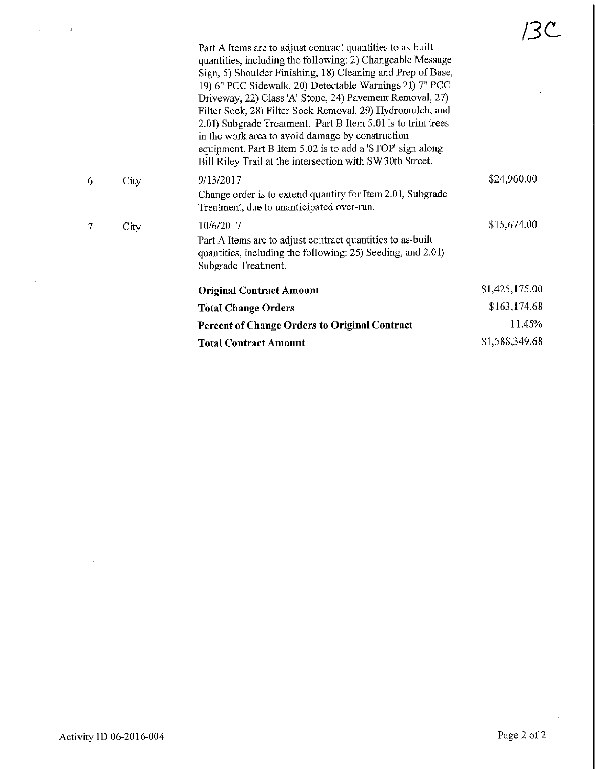|      | Part A Items are to adjust contract quantities to as-built<br>quantities, including the following: 2) Changeable Message<br>Sign, 5) Shoulder Finishing, 18) Cleaning and Prep of Base,<br>19) 6" PCC Sidewalk, 20) Detectable Warnings 21) 7" PCC<br>Driveway, 22) Class 'A' Stone, 24) Pavement Removal, 27)<br>Filter Sock, 28) Filter Sock Removal, 29) Hydromulch, and<br>2.01) Subgrade Treatment. Part B Item 5.01 is to trim trees<br>in the work area to avoid damage by construction<br>equipment. Part B Item 5.02 is to add a 'STOP' sign along<br>Bill Riley Trail at the intersection with SW30th Street. | ے ا            |
|------|-------------------------------------------------------------------------------------------------------------------------------------------------------------------------------------------------------------------------------------------------------------------------------------------------------------------------------------------------------------------------------------------------------------------------------------------------------------------------------------------------------------------------------------------------------------------------------------------------------------------------|----------------|
| City | 9/13/2017<br>Change order is to extend quantity for Item 2.01, Subgrade<br>Treatment, due to unanticipated over-run.                                                                                                                                                                                                                                                                                                                                                                                                                                                                                                    | \$24,960.00    |
| City | 10/6/2017<br>Part A Items are to adjust contract quantities to as-built<br>quantities, including the following: 25) Seeding, and 2.01)<br>Subgrade Treatment.                                                                                                                                                                                                                                                                                                                                                                                                                                                           | \$15,674.00    |
|      | <b>Original Contract Amount</b>                                                                                                                                                                                                                                                                                                                                                                                                                                                                                                                                                                                         | \$1,425,175.00 |
|      | <b>Total Change Orders</b>                                                                                                                                                                                                                                                                                                                                                                                                                                                                                                                                                                                              | \$163,174.68   |
|      | <b>Percent of Change Orders to Original Contract</b>                                                                                                                                                                                                                                                                                                                                                                                                                                                                                                                                                                    | 11.45%         |
|      | <b>Total Contract Amount</b>                                                                                                                                                                                                                                                                                                                                                                                                                                                                                                                                                                                            | \$1,588,349.68 |

 $\sim 10^{-11}$ 

 $\mathbf{a}^{(i)}$  and  $\mathbf{a}^{(i)}$  and  $\mathbf{a}^{(i)}$ 

 $\label{eq:2} \frac{1}{\sqrt{2\pi}}\left(\frac{1}{\sqrt{2\pi}}\right)^{1/2}$ 

 $\ddot{\gamma}$ 

 $\sim 10$ 

 $\sim$ 

।२८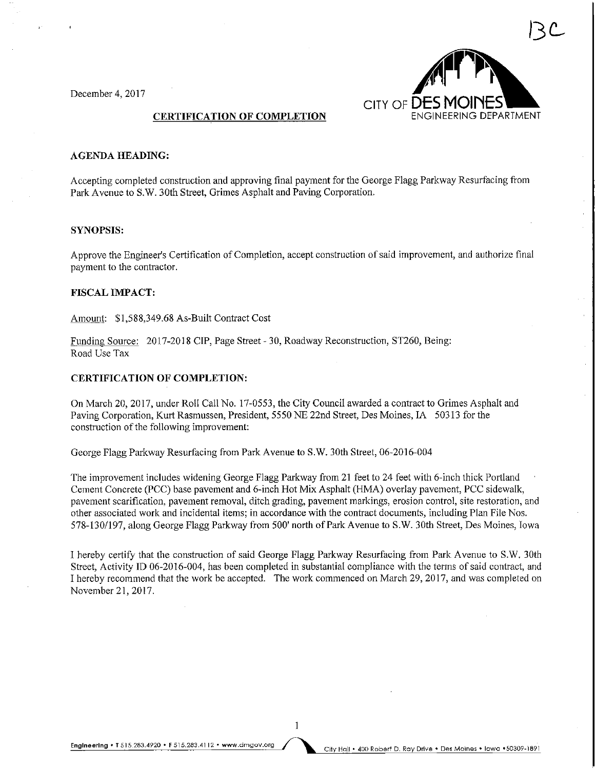

#### AGENDA HEADING:

Accepting completed construction and approving final payment for the George Flagg Parkway Resurfacing from Park Avenue to S.W. 30th Street, Grimes Asphalt and Paving Corporation.

#### SYNOPSIS:

Approve the Engineer's Certification of Completion, accept construction of said improvement, and authorize final payment to the contractor.

#### FISCAL IMPACT:

Amount: \$1,588,349.68 As-Built Contract Cost

Funding Source: 2017-2018 CIP, Page Street - 30, Roadway Reconstruction, ST260, Being: Road Use Tax

#### CERTIFICATION OF COMPLETION:

On March 20, 2017, under Roll Call No. 17-0553, the City Council awarded a contract to Grimes Asphalt and Paving Corporation, Kurt Rasmussen, President, 5550 NE 22nd Street, Des Moines, IA 50313 for the construction of the following improvement:

George Flagg Parkway Resurfacing from ParkAvenue to S.W. 30th Street, 06-2016-004

The improvement includes widening George Flagg Parkway from 21 feet to 24 feet with 6~inch thick Portland Cement Concrete (PCC) base pavement and 6-inch Hot Mix Asphalt (HMA) overlay pavement, PCC sidewalk, pavement scarification, pavement removal, ditch grading, pavement markings, erosion control, site restoration, and other associated work and incidental items; in accordance with the contract documents, including Plan File Nos. 578-130/197, along George Flagg Parkway from 500' north of Park Avenue to S.W. 30th Street, Des Moines, Iowa

I hereby certify that the construction of said George FIagg Parkway Resurfacing from Park Avenue to S.W. 30th Street, Activity ID 06-2016-004, has been completed in substantial compliance with the terms of said contract, and I hereby recommend that the work be accepted. The work commenced on March 29, 2017, and was completed on November 21,2017.

 $\mathbf{1}$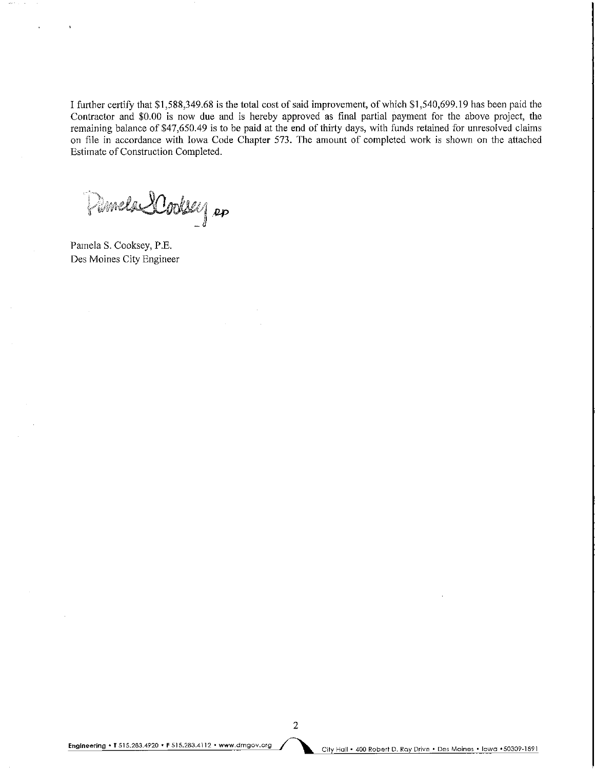I further certify that \$1,588,349.68 is the total cost of said improvement, of which \$1,540,699.19 has been paid the Contractor and \$0.00 is now due and is hereby approved as final partial payment for the above project, the remaining balance of \$47,650.49 is to be paid at the end of thirty days, with funds retained for unresolved claims on file in accordance with Iowa Code Chapter 573. The amount of completed work is shown on the attached Estimate of Construction Completed.

Pimela SCooksey ep

Pamela S. Cooksey, P.E. Des Moines City Engineer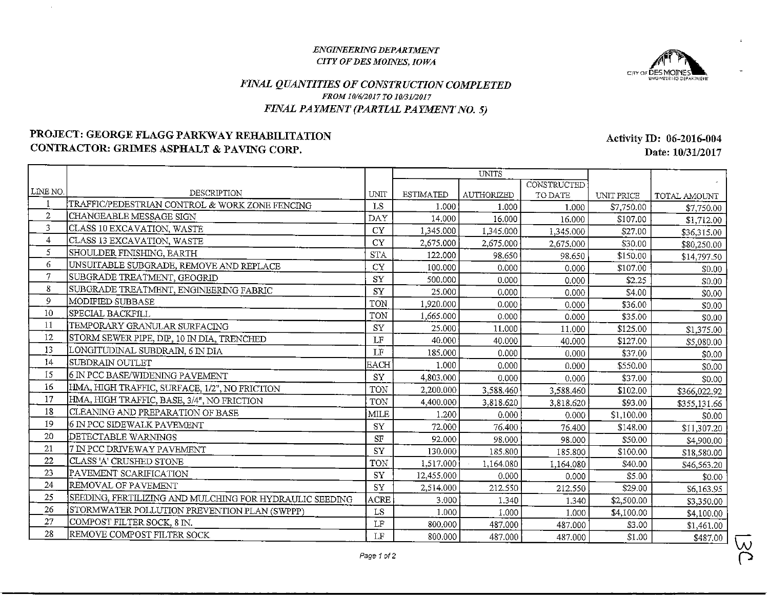### ENGINEERING DEPARTMENT **CITY OF DES MOINES, IOWA**



## FINAL QUANTITIES OF CONSTRUCTION COMPLETED FROM 10/6/2017 TO 10/31/2017 FINAL PAYMENT (PARTIAL PAYMENT NO. 5)

## PROJECT: GEORGE FLAGG PARKWAY REHABILITATION CONTRACTOR: GRIMES ASPHALT & PAVING CORP.

 $\mathcal{A}^{\pm}$ 

Activity ID: 06-2016-004 Date: 10/31/2017

|         |                                                               |                     | <b>UNITS</b>     |                   |                    |            |              |
|---------|---------------------------------------------------------------|---------------------|------------------|-------------------|--------------------|------------|--------------|
| LINE NO |                                                               |                     |                  |                   | <b>CONSTRUCTED</b> |            |              |
|         | DESCRIPTION<br>TRAFFIC/PEDESTRIAN CONTROL & WORK ZONE FENCING | UNIT                | <b>ESTIMATED</b> | <b>AUTHORIZED</b> | TO DATE            | UNIT PRICE | TOTAL AMOUNT |
| 2       | CHANGEABLE MESSAGE SIGN                                       | LS                  | 1.000            | 1.000             | 1.000              | \$7,750.00 | \$7,750.00   |
| 3       | CLASS 10 EXCAVATION, WASTE                                    | <b>DAY</b>          | 14.000           | 16.000            | 16.000             | \$107.00   | \$1,712.00   |
| 4       |                                                               | <b>CY</b>           | 1,345.000        | 1,345.000         | 1,345.000          | \$27.00    | \$36,315.00  |
| 5       | CLASS 13 EXCAVATION, WASTE                                    | <b>CY</b>           | 2,675.000        | 2,675.000         | 2,675.000          | \$30.00    | \$80,250.00  |
|         | SHOULDER FINISHING, EARTH                                     | <b>STA</b>          | 122.000          | 98.650            | 98.650             | \$150.00   | \$14,797.50  |
| 6       | UNSUITABLE SUBGRADE, REMOVE AND REPLACE                       | <b>CY</b>           | 100.000          | 0.000             | 0.000              | \$107.00   | \$0.00       |
| 7       | SUBGRADE TREATMENT, GEOGRID                                   | SY                  | 500.000          | 0.000             | 0.000              | \$2.25     | \$0.00       |
| 8       | SUBGRADE TREATMENT, ENGINEERING FABRIC                        | SY                  | 25.000           | 0.000             | 0.000              | \$4.00     | \$0.00       |
| 9       | MODIFIED SUBBASE                                              | TON                 | 1,920.000        | 0.000             | 0.000              | \$36.00    | \$0.00       |
| 10      | SPECIAL BACKFILL                                              | <b>TON</b>          | 1,665.000        | 0.000             | 0.000              | \$35.00    | \$0.00       |
| 11      | TEMPORARY GRANULAR SURFACING                                  | SY                  | 25.000           | 11.000            | 11.000             | \$125.00   | \$1,375.00   |
| 12      | STORM SEWER PIPE, DIP, 10 IN DIA, TRENCHED                    | LF                  | 40.000           | 40.000            | 40.000             | \$127.00   | \$5,080.00   |
| 13      | LONGITUDINAL SUBDRAIN, 6 IN DIA                               | $\mathbf{LF}$       | 185.000          | 0.000             | 0.000              | \$37.00    | \$0.00       |
| 14      | SUBDRAIN OUTLET                                               | EACH                | 1.000            | 0.000             | 0.000              | \$550.00   | \$0.00       |
| 15      | 6 IN PCC BASE/WIDENING PAVEMENT                               | SY                  | 4,803.000        | 0.000             | 0.000              | \$37.00    | \$0.00       |
| 16      | HMA, HIGH TRAFFIC, SURFACE, 1/2", NO FRICTION                 | TON                 | 2,200.000        | 3,588.460         | 3,588.460          | \$102.00   | \$366,022.92 |
| 17      | HMA, HIGH TRAFFIC, BASE, 3/4", NO FRICTION                    | <b>TON</b>          | 4,400,000        | 3,818.620         | 3,818.620          | \$93.00    | \$355,131.66 |
| 18      | CLEANING AND PREPARATION OF BASE                              | <b>MILE</b>         | 1.200            | 0.000             | 0.000              | \$1,100.00 | \$0.00       |
| 19      | 6 IN PCC SIDEWALK PAVEMENT                                    | ${\rm SY}$          | 72.000           | 76 400            | 76.400             | \$148.00   | \$11,307.20  |
| 20      | DETECTABLE WARNINGS                                           | $\rm SF$            | 92.000           | 98.000            | 98.000             | \$50.00    | \$4,900.00   |
| 21      | 7 IN PCC DRIVEWAY PAVEMENT                                    | <b>SY</b>           | 130.000          | 185.800           | 185.800            | \$100.00   | \$18,580.00  |
| 22      | CLASS 'A' CRUSHED STONE                                       | TON                 | 1,517.000        | 1,164.080         | 1,164.080          | \$40.00    | \$46,563.20  |
| 23      | PAVEMENT SCARIFICATION                                        | SY                  | 12,455.000       | 0.000             | 0.000              | \$5.00     | \$0.00       |
| 24      | REMOVAL OF PAVEMENT                                           | <b>SY</b>           | 2,514.000        | 212.550           | 212.550            | \$29.00    | \$6,163.95   |
| 25      | SEEDING, FERTILIZING AND MULCHING FOR HYDRAULIC SEEDING       | ACRE                | 3.000            | 1.340             | 1.340              | \$2,500.00 | \$3,350.00   |
| 26      | STORMWATER POLLUTION PREVENTION PLAN (SWPPP)                  | LS                  | 1.000            | 1.000             | 1.000              | \$4,100.00 | \$4,100.00   |
| 27      | COMPOST FILTER SOCK, 8 IN.                                    | $\operatorname{LF}$ | 800.000          | 487.000           | 487.000            | \$3.00     | \$1,461.00   |
| 28      | REMOVE COMPOST FILTER SOCK                                    | LF                  | 800.000          | 487.000           | 487.000            | \$1.00     | \$487.00     |
|         |                                                               |                     |                  |                   |                    |            |              |